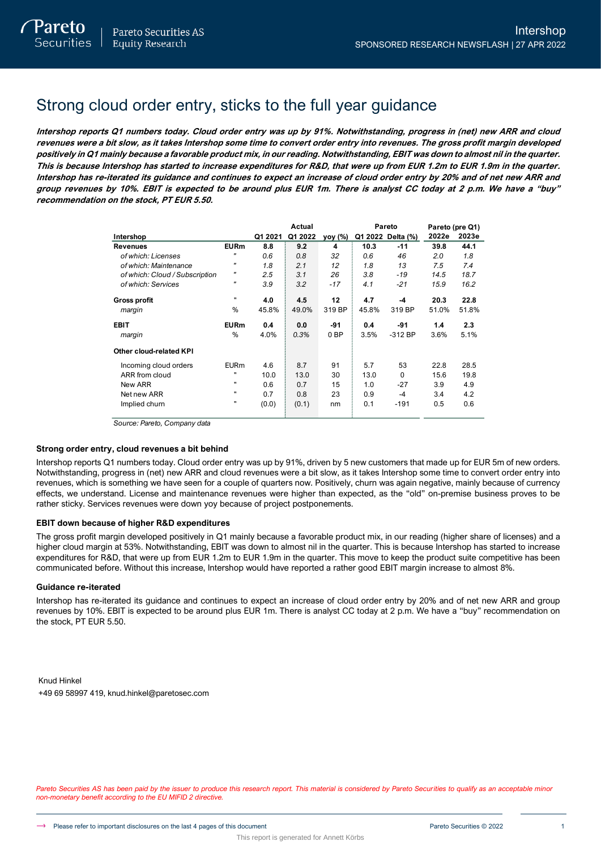# Strong cloud order entry, sticks to the full year guidance

**Intershop reports Q1 numbers today. Cloud order entry was up by 91%. Notwithstanding, progress in (net) new ARR and cloud revenues were a bit slow, as it takes Intershop some time to convert order entry into revenues. The gross profit margin developed positively in Q1 mainly because a favorable product mix, in our reading. Notwithstanding, EBIT was down to almost nil in the quarter. This is because Intershop has started to increase expenditures for R&D, that were up from EUR 1.2m to EUR 1.9m in the quarter. Intershop has re-iterated its guidance and continues to expect an increase of cloud order entry by 20% and of net new ARR and group revenues by 10%. EBIT is expected to be around plus EUR 1m. There is analyst CC today at 2 p.m. We have a "buy" recommendation on the stock, PT EUR 5.50.**

|                                |                   |         | Actual  |                 |       | Pareto            |       | Pareto (pre Q1) |
|--------------------------------|-------------------|---------|---------|-----------------|-------|-------------------|-------|-----------------|
| Intershop                      |                   | Q1 2021 | Q1 2022 | yoy (%)         |       | Q1 2022 Delta (%) | 2022e | 2023e           |
| <b>Revenues</b>                | <b>EURm</b>       | 8.8     | 9.2     | 4               | 10.3  | $-11$             | 39.8  | 44.1            |
| of which: Licenses             | "                 | 0.6     | 0.8     | 32              | 0.6   | 46                | 2.0   | 1.8             |
| of which: Maintenance          | $^{\prime\prime}$ | 1.8     | 2.1     | 12              | 1.8   | 13                | 7.5   | 7.4             |
| of which: Cloud / Subscription | $^{\prime\prime}$ | 2.5     | 3.1     | 26              | 3.8   | $-19$             | 14.5  | 18.7            |
| of which: Services             | "                 | 3.9     | 3.2     | $-17$           | 4.1   | $-21$             | 15.9  | 16.2            |
| <b>Gross profit</b>            |                   | 4.0     | 4.5     | 12              | 4.7   | -4                | 20.3  | 22.8            |
| margin                         | %                 | 45.8%   | 49.0%   | 319 BP          | 45.8% | 319 BP            | 51.0% | 51.8%           |
| <b>EBIT</b>                    | <b>EURm</b>       | 0.4     | 0.0     | -91             | 0.4   | -91               | 1.4   | 2.3             |
| margin                         | %                 | 4.0%    | 0.3%    | 0 <sub>BP</sub> | 3.5%  | $-312$ BP         | 3.6%  | 5.1%            |
| <b>Other cloud-related KPI</b> |                   |         |         |                 |       |                   |       |                 |
| Incoming cloud orders          | <b>EURm</b>       | 4.6     | 8.7     | 91              | 5.7   | 53                | 22.8  | 28.5            |
| ARR from cloud                 |                   | 10.0    | 13.0    | 30              | 13.0  | $\Omega$          | 15.6  | 19.8            |
| New ARR                        |                   | 0.6     | 0.7     | 15              | 1.0   | $-27$             | 3.9   | 4.9             |
| Net new ARR                    |                   | 0.7     | 0.8     | 23              | 0.9   | $-4$              | 3.4   | 4.2             |
| Implied churn                  |                   | (0.0)   | (0.1)   | nm              | 0.1   | $-191$            | 0.5   | 0.6             |

*Source: Pareto, Company data*

# **Strong order entry, cloud revenues a bit behind**

Intershop reports Q1 numbers today. Cloud order entry was up by 91%, driven by 5 new customers that made up for EUR 5m of new orders. Notwithstanding, progress in (net) new ARR and cloud revenues were a bit slow, as it takes Intershop some time to convert order entry into revenues, which is something we have seen for a couple of quarters now. Positively, churn was again negative, mainly because of currency effects, we understand. License and maintenance revenues were higher than expected, as the "old" on-premise business proves to be rather sticky. Services revenues were down yoy because of project postponements.

# **EBIT down because of higher R&D expenditures**

The gross profit margin developed positively in Q1 mainly because a favorable product mix, in our reading (higher share of licenses) and a higher cloud margin at 53%. Notwithstanding, EBIT was down to almost nil in the quarter. This is because Intershop has started to increase expenditures for R&D, that were up from EUR 1.2m to EUR 1.9m in the quarter. This move to keep the product suite competitive has been communicated before. Without this increase, Intershop would have reported a rather good EBIT margin increase to almost 8%.

# **Guidance re-iterated**

Intershop has re-iterated its guidance and continues to expect an increase of cloud order entry by 20% and of net new ARR and group revenues by 10%. EBIT is expected to be around plus EUR 1m. There is analyst CC today at 2 p.m. We have a "buy" recommendation on the stock, PT EUR 5.50.

Knud Hinkel +49 69 58997 419, knud.hinkel@paretosec.com

Pareto Securities AS has been paid by the issuer to produce this research report. This material is considered by Pareto Securities to qualify as an acceptable minor *non-monetary benefit according to the EU MIFID 2 directive.*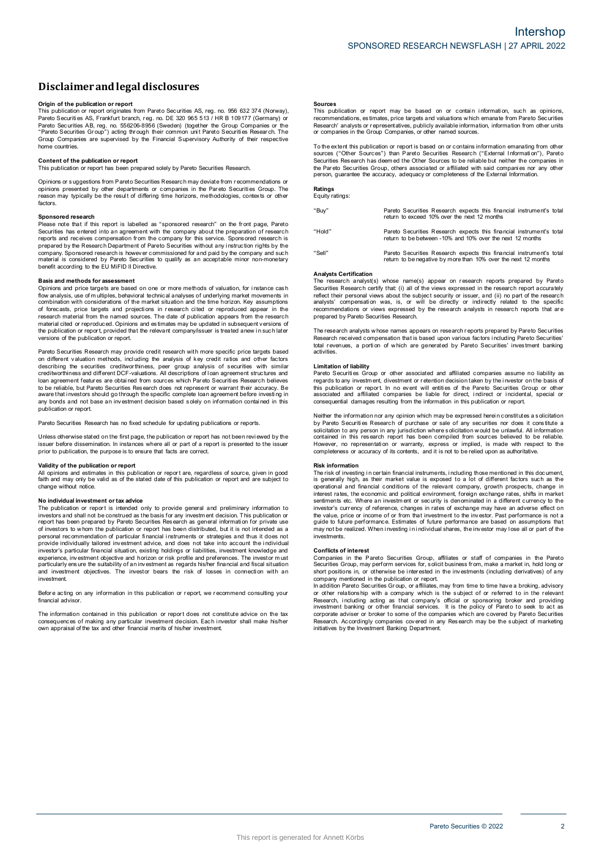# **Disclaimerandlegal disclosures**

**Origin <b>of the publication or report**<br>This publication or report originates from Pareto Securities AS, reg. no. 956 632 374 (Norway), Pareto Securiti es AS, Frankfurt branch, r eg. no. DE 320 965 513 / HR B 109177 (Germany) or Pareto Securities AB, reg. no. 556206-8956 (Sweden) (together the Group Companies or the "Pareto Securities Gr oup") acting through their common uni t Pareto Securiti es Research. The Group Companies are supervised b y the Financial Supervisory Authority of their respective home countries.

## **Content of the publication or report**

This publication or report has been prepared solely by Pareto Securities Research.

Opinions or s uggestions from Pareto Securities Research may deviate from r ecommendations or opinions presented by other departments or companies in the Pareto Securities Group. The<br>reason may typically be the result of differing time horizons, methodologies, contexts or other factors.

## **Sponsored research**

Please note that if this report is labelled as "sponsored research" on the front page, Pareto Securities has entered into an agreement with the company about the preparation of research<br>reports and receives compensation from the company for this service. Sponsored research is prepared by the Research Department of Pareto Securities without any instruction rights by the company. Sponsored research is however commissioned for and paid by the company and such material is considered by Pareto Securities to qualify as an acceptable minor non-monetary benefit according to the EU MiFID II Directive.

### **Basis and methods for assessment**

Opinions and price targets are based on one or more methods of valuation, for instance cash flow analysis, use of m ultiples, behavioral technical analyses of underlying market movements in combination with considerations of the market situation and the time horizon. Key assumptions of forecasts, price targets and projections in research cited or reproduced appear in the research material from the named sources. The date of publication appears from the research material cited or reproduced. Opinions and estimates may be updated in subsequent versions of the publication or report, provided that the relevant company/issuer is treated anew in such later<br>versions of the publication or report.

Pareto Securities Research may provide credit research with more specific price targets based on different valuation methods, incl uding the analysis of key credit ratios and other factors describing the securities creditworthiness, peer group analysis of securities with similar<br>creditworthinessand different DCF-valuations. All descriptions of loan agreement structures and loan agreement featur es are obtai ned from sources which Par eto Securiti es Research believes to be reliable, but Pareto Securities Research does not represent or warrant their accuracy. Be<br>aware that investors should go through the specific complete loan agreement before investing in any bonds and not base an investment decision based solely on information contained in this publication or report.

Pareto Securities Research has no fixed schedule for updating publications or reports.

Unless otherwise stated on the first page, the publication or report has not been reviewed by the issuer before dissemination. In instances where all or part of a report is presented to the issuer<br>prior to publication, the purpose is to ensure that facts are correct.

### **Validity of the publication or report**

All opinions and estimates in this publication or report are, regardless of source, given in good<br>faith and may only be valid as of the stated date of this publication or report and are subject to change without notice.

### **N o individual investment o r tax advice**

The publication or report is intended only to provide general and preliminary information to investors and shall not be construed as the basis for any investment decision. This publication or<br>report has been prepared by Pareto Securities Research as general information for private use of investors to whom the publication or report has been distributed, but it is not intended as a personal recommendation of particular financial instruments or strategies and thus it does not<br>provide individually tailored investment advice, and does not take into account the individual<br>investor's particular financial experience, investment objective and horizon or risk profile and preferences. The investor m ust particularly ensure the suitability of an investment as regards his/her financial and fiscal situation<br>and investment objectives. The investor bears the risk of losses in connection with an investment.

Before acting on any information in this publication or report, we recommend consulting your financial advisor

The information contained in this publication or report does not constitute advice on the tax consequences of making any particular investment decision. Each investor shall make his/her<br>own appraisal of the tax and other financial merits of his/her investment.

**Sources**<br>This publication or report may be based on or contain information, such as opinions, recommendations, es timates, price targets and valuations w hich emanate from Pareto Securities Research' analysts or representatives, publicly available information, information from other units<br>or companies in the Group Companies, or other named sources.

To the extent this publication or report is based on or contains information emanating from other<br>sources ("Other Sources") than Pareto Securities Research ("External Information"), Pareto Securities Res earch has deem ed the Other Sources to be reliable but neither the companies in the Par eto Securities Group, others associated or affiliated with said compani es nor any other person, guarantee the accuracy, adequacy or completeness of the External Information.

# **Ratings**<br>Equity ratings:

| "Buy"  | Pareto Securities Research expects this financial instrument's total<br>return to exceed 10% over the next 12 months                   |
|--------|----------------------------------------------------------------------------------------------------------------------------------------|
| "Hold" | Pareto Securities Research expects this financial instrument's total<br>return to be between -10% and 10% over the next 12 months      |
| "Sell" | Pareto Securities Research expects this financial instrument's total<br>return to be negative by more than 10% over the next 12 months |

### **Analysts Certification**

Analysts Schmodhon<br>The research analyst(s) whose name(s) appear on research reports prepared by Pareto Securities Research certify that: (i) all of the views expressed in the research report accurately<br>reflect their personal views about the subject security or issuer, and (ii) no part of the research analysts' compensation was, is, or will be directly or indirectly related to the specific<br>recommendations or views expressed by the research analysts in research reports that are prepared by Pareto Securities Research.

The research analysts w hose names appears on research reports prepared by Pareto Securities<br>Research received compensation that is based upon various factors i ncluding Pareto Securities' total revenues, a portion of which are generated by Pareto Securities' investment banking activities.

#### **Limitation of liability**

Pareto Securities Group or other associated and affiliated companies assume no liability as regards to any investment, divestment or retention decision taken by the investor on the basis of this publication or report. In no event will entities of the Pareto Securities Group or other<br>associated and affiliated companies be liable for direct, indirect or incidental, special or consequential damages resulting from the information in this publication or report.

Neither the information nor any opinion which may be expressed herein constitutes a solicitation by Pareto Securities Research of purchase or sale of any securities nor does it constitute a solicitation to any person in any jurisdiction where solicitation would be unlawful. All information<br>contained in this research report has been compiled from sources believed to be reliable. However, no representation or warranty, express or implied, is made with respect to the<br>completeness or accuracy of its contents, and it is not to be relied upon as authoritative.

### **Risk information**

The risk of investing in certain financial instruments, including those mentioned in this document,<br>is generally high, as their market value is exposed to a lot of different factors such as the operational and financial conditions of the relevant company, growth prospects, change in interest rates, the economic and political environment, foreign exchange rates, shifts in market<br>sentiments etc. Where an investment or security is denominated in a different currency to the investor's currency of reference, changes in rates of exchange may have an adverse effect on the value, price or income of or from that investment to the investor. Past performance is not a<br>guide to future performance. Estimates of future performance are based on assumptions that may not be realized. When investing in individual shares, the investor may lose all or part of the investments.

### **Conflicts of interest**

Companies in the Pareto Securities Group, affiliates or staff of companies in the Pareto Securities Group, may perform services for, s olicit business fr om, make <sup>a</sup> market in, hold long or short positions in, or otherwise be interested in the investments (including derivatives) of any company mentioned in the publication or report.

In addition Pareto Securities Gr oup, or affiliates, may from time to time have a broking, advisory<br>or other relations hip with a company which is the subject of or referred to in the relevant Research, including acting as that company's official or sponsoring broker and providing<br>investment banking or other financial services. It is the policy of Pareto to seek to act as corporate adviser or broker to some of the companies which are covered by Pareto Securities Research. Accordingly companies covered in any Research may be the subject of marketing<br>initiatives by the Investment Banking Department.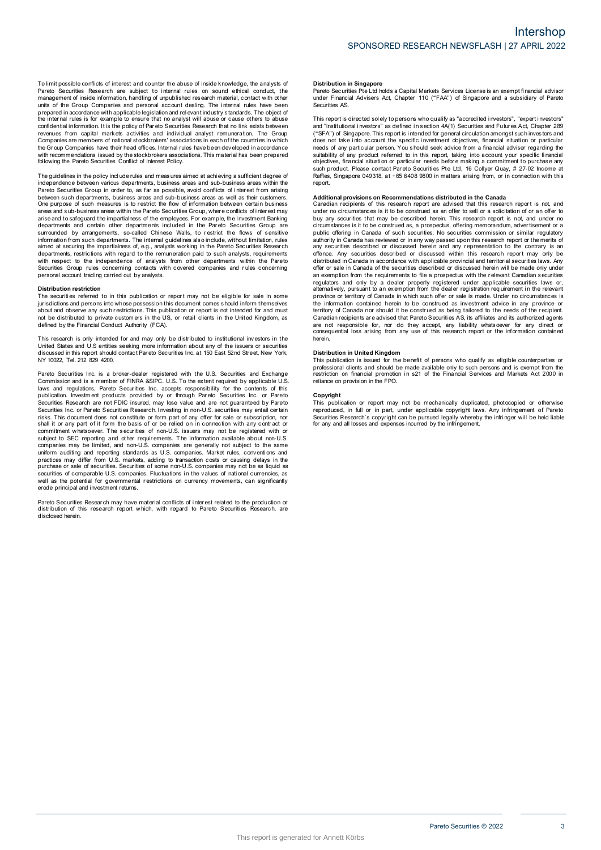To limit possible conflicts of interest and counter the abuse of inside knowledge, the analysts of<br>Pareto Securities Research are subject to internal rules on sound ethical conduct, the management of inside information, handling of unpublished research material, contact with other<br>units of the Group Companies and personal account dealing. The internal rules have been prepared in accordance with applicable legislation and relevant industry standards. The object of<br>the internal rules is for example to ensure that no a nalyst will abuse or cause others to abuse confidential information. It is the policy of Pareto Securities Research that no link exists between<br>revenues from capital markets activities and individual analyst remuneration. The Group Companies are members of national stockbrokers' associations in each of the countries in which the Gr oup Companies have their head offices. Internal rules have been developed i n accordance with recommendations issued by the stockbrokers associations. This material has been prepared<br>following the Pareto Securities Conflict of Interest Policy.

The guidelines in the policy include rules and meas ures aimed at achi eving a sufficient degree of independence between various departments, business areas and sub-business areas within the Pareto Securities Group in order to, as far as possible, avoid conflicts of interest from arising between such departments, business areas and sub-business areas as well as their customers.<br>One purpose of such measures is to restrict the flow of information between certain business areas and s ub-business areas within the Par eto Securities Group, wher e conflicts of i nter est may arise and to safeguard the impartialness of the employees. For example, the Investment Banking<br>departments and certain other departments included in the Par eto Securities Group are surrounded by arrangements, so-called Chinese Walls, to restrict the flows of sensitive information fr om such departments. The internal guidelines als o include, without limitation, rules aimed at securing the impartialness of, e.g., analysts working i n the Pareto Securities Research departments, restrictions with regard to the remuneration paid to such analysts, requirements<br>with respect to the independence of analysts from other departments within the Pareto Securities Group rules concerning contacts with covered companies and rules concerning<br>personal account trading carried out by analysts.

#### **Distribution restriction**

The securities referred to in this publication or report may not be eligible for sale in some jurisdictions and persons into whose possession this document comes s hould inform themselves about and observe any such restrictions. This publication or report is not intended for and must<br>not be distributed to private customers in the US, or retail clients in the United Kingdom, as defined by the Financial Conduct Authority (FCA).

This research is only intended for and may only be distributed to institutional investors in the United States and U.S entities seeking more information about any of the issuers or securities<br>discussed in this report should contact Pareto Securities Inc. at 150 East 52nd Street, New York, N Y 10022, Tel. 212 829 4200.

Pareto Securities Inc. is a broker-dealer registered with the U.S. Securities and Exchange Commission and is a member of FINRA &SIPC. U.S. To the extent required by applicable U.S.<br>laws and regulations, Pareto Securities Inc. accepts responsibility for the contents of this<br>publication. Investment products provid Securities Inc. or Par eto Securities Research. Investing in non-U.S. securities may entail certain risks. This document does not constitute or form part o f any offer for sale or subscription, nor shall it or any part of it form the basis of or be relied on in connection with any contract or<br>commitment whatsoever. The securities of non-U.S. issuers may not be registered with or subject to SEC reporting and other requirements. The information available about non-U.S.<br>companies may be limited, and non-U.S. companies are generally not subject to the same uniform auditing and reporting standards as U.S. companies. Market rules, conventions and<br>practices may differ from U.S. markets, adding to transaction costs or causing delays in the purchase or sale of securities. Securities of some non-U.S. companies may not be as liquid as<br>securities of comparable U.S. companies. Fluctuations in the values of national currencies, as well as the potential for governmental r estrictions on currency movements, can significantly erode principal and investment returns.

Pareto Securities Resear ch may have material conflicts of i nter est related to the production or distribution of this research report w hich, with regard to Pareto Securiti es Research, are disclosed herein.

## **Distribution in Singapore**

Pareto Securities Pte Ltd holds a Capital Markets Services License is an exempt financial advisor under Financial Advisers Act, Chapter 110 ("FAA") of Singapore and <sup>a</sup> subsidiary of Pareto Securities AS.

This report is directed sol ely to persons who qualify as "accredited investors", "expert investors" and "institutional investors" as defined in section  $4A(1)$  Securities and Futures Act, Chapter 289 ("SFA") of Singapore. This report is intended for general circulation amongst such investors and does not take i nto account the specific i nvestment objectives, financial situati on or particular needs of any particular person. You s hould seek advice from a financial adviser regarding the suitability of any product referred to in this report, taking into account your specific financial<br>objectives, financial situation or particular needs before making a commitment to purchase any such product. Please contact Par eto Securities Pte Ltd, 16 Collyer Quay, # 27-02 Income at Raffles, Singapore 049318, at +65 6408 9800 in matters arising from, or in connection with this report.

**Additional provisions on Recommendations distributed in the Canada<br>Canadian recipients of this research report are advised that this research report is not, and** under no circumstances is it to be construed as an offer to sell or a solicitation of or an offer to buy any securities that may be described herein. This research report is not, and under no<br>circumstances is it to be construed as, a prospectus, offering memorandum, advertisement or a public offering in Canada of such securities. No securities commission or similar regulatory authority in Canada has reviewed or in any way passed upon this research report or the merits of<br>any securities described or discussed herein and any representation to the contrary is an offence. Any securities described or discussed within this research report may only be distributed in Canada in accordance with applicable provincial and territorial securities laws. Any offer or sale in Canada of the securities described or discussed herein will be made only under<br>an exemption from the requirements to file a prospectus with the relevant Canadian securities regulators and only by a dealer properly registered under applicable securities laws or,<br>alternatively, pursuant to an exemption from the dealer registration requirement in the relevant province or territory of Canada in which such offer or sale is made. Under no circumstances is the information contained herein to be construed as investment advice in any province or territory of Canada nor should it be construed as being tailored to the needs of the recipient.<br>Canadian recipients are advised that Pareto Securities AS, its affiliates and its authorized agents are not responsible for, nor do they accept, any liability whatsoever for any direct or<br>consequential loss arising from any use of this research report or the information contained herein.

#### **Distribution in United Kingdom**

This publication is issued for the benefit of persons who qualify as eligible counterparties or professional clients and should be made available only to such persons and is exempt from the<br>restriction on financial promotion in s21 of the Financial Services and Markets Act 2000 in reliance on provision in the FPO.

### **Copyright**

This publication or report may not be mechanically duplicated, photocopied or otherwise reproduced, in full or in part, under applicable copyright laws. Any infringement of Pareto<br>Securities Research´s copyright can be pursued legally whereby the infringer will be held liable for any and all losses and expenses incurred b y the infringement.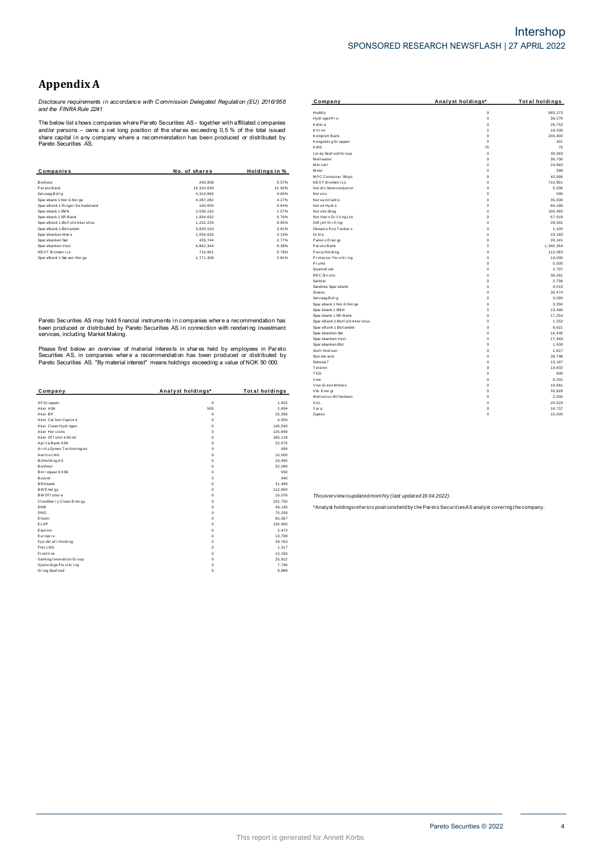# **Appendix A**

Disclosure requirements in accordance with Commission Delegated Regulation (EU) 2016/958<br>and the FINRA Rule 2241

The below list shows companies where Pareto Securities AS - together with affiliated companies The better that shows comparing write Prat ato Securities AS - together with all that comparing and/or persons – owns a net long position of the shares exceeding 0,5 % of the total issued share capital in any company where

| Companies                       | No. of shares | Holdings in % |
|---------------------------------|---------------|---------------|
|                                 |               |               |
| Bonheur                         | 240.958       | 0.57%         |
| Par eto Bank                    | 15.310.630    | 21.92%        |
| Selvaag Bolig                   | 4.314.865     | 4.60%         |
| Sparebank 1 Nor d-Nor ge        | 4.287.282     | 4.27%         |
| SpareBank 1 Ringer ike Hadeland | 100.000       | 0.64%         |
| Sparebank 1 SMN                 | 2.036.192     | 1.57%         |
| Sparebank 1 SR-Bank             | 1.934.632     | 0.76%         |
| SpareBank 1 Østf old Aker shus  | 1.232.229     | 9.95%         |
| SpareBank 1 Østlandet           | 3.833.163     | 3.61%         |
| Sparebanken Møre                | 1.054.030     | 2.13%         |
| Spar ebanken Sør                | 433.744       | 2.77%         |
| Sparebanken Vest                | 6.862.344     | 6.39%         |
| <b>NEXT Biometrics</b>          | 710.901       | 0.78%         |
| SpareBank 1 Sør øst-Nor ge      | 1.771.308     | 2.81%         |

Pareto Securities AS may hold financial instruments in companies where a recommendation has been produced or distributed by Pareto Securities AS in connection with rendering investment<br>services, including Market Making.

Please find below an overview of material interests in shares held by employees in Pareto<br>Securities AS, in companies where a recommendation has been produced or distributed by<br>Pareto Securities AS. "By material interest"

| Company                  | Analyst holdings* | <b>Total holdings</b> |
|--------------------------|-------------------|-----------------------|
| AF Gr uppen              | $\mathbf 0$       | 1.825                 |
| Aker ASA                 | 500               | 2.694                 |
| Aker RP                  | $\Omega$          | 25,266                |
| Aker Carbon Capture      | 0                 | 4.926                 |
| Aker Clean Hydrogen      | 0                 | 140.540               |
| Aker Horizons            | 0                 | 125,848               |
| Aker Offshore Wind       | $\Omega$          | 165.118               |
| Aprila Bank ASA          | 0                 | 22.675                |
| ArcticZymes Technologies | 0                 | 684                   |
| Awilco LNG               | $\Omega$          | 10.000                |
| B2Holding AS             | 0                 | 10,940                |
| <b>Bonheur</b>           | $\Omega$          | 32,088                |
| Bor regaar d ASA         | $\Omega$          | 650                   |
| Bouvet                   | 0                 | 940                   |
| <b>BRAbank</b>           | 0                 | 31.499                |
| BW Ener gy               | 0                 | 112,660               |
| BW Of f shore            | $\Omega$          | 16,076                |
| Cloudber ry Clean Energy | $\Omega$          | 101.750               |
| DNB                      | 0                 | 49.145                |
| <b>DNO</b>               | 0                 | 70,258                |
| Elkem                    | 0                 | 65,067                |
| ELOP                     | $\Omega$          | 130,000               |
| Equinor                  | 0                 | 2.473                 |
| Europris                 | $\Omega$          | 13.708                |
| Fj or dkr af t Holding   | 0                 | 29.763                |
| Flex LNG                 | 0                 | 1.317                 |
| Frontline                | 0                 | 12.190                |
| Gaming Innovation Group  | $\Omega$          | 25,912                |
| Gjensidige For sikring   | 0                 | 7.746                 |
| Grieg Seaf ood           | 0                 | 8,889                 |

| Company                                  | Analyst holdings* | <b>Total holdings</b> |
|------------------------------------------|-------------------|-----------------------|
| Huddly                                   | $\mathbf 0$       | 993.173               |
| Hydr ogenPr o                            | $\mathbf 0$       | 39.276                |
| Kalera                                   | $\mathbf 0$       | 26.752                |
| Kitr on                                  | $\mathbf 0$       | 18,336                |
| Komplett Bank                            | $\mathbf 0$       | 209,400               |
| Kongsberg Gruppen                        | $\mathbf 0$       | 301                   |
| <b>KWS</b>                               | 75                | 75                    |
| Ler øy Seaf ood Gr oup                   | $\mathbf 0$       | 39.363                |
| Meltwater                                | $\mathbf 0$       | 30,700                |
| Mercell                                  | $\mathbf 0$       | 24.863                |
| Mowi                                     | $\mathbf 0$       | 399                   |
| <b>MPC</b> Container Ships               | $\mathbf 0$       | 42,995                |
| NEXT Biometrics                          | $\mathbf 0$       | 710.901               |
| Nor dic Semiconductor                    | $\mathbf 0$       | 5,336                 |
| Nor eco                                  | $\mathbf 0$       | 590                   |
| Nor se Atlantic                          | $\mathbf 0$       | 35.000                |
| Norsk Hydro                              | $\mathbf 0$       | 84,189                |
|                                          | $\mathbf 0$       | 105.499               |
| Norske Skog                              | $\mathbf 0$       | 67.919                |
| Nor ther n Drilling Ltd.                 |                   |                       |
| Odf jell Drilling<br>Okeanis Eco Tankers | $\mathbf 0$       | 28.581                |
|                                          | $\mathbf 0$       | 1.420                 |
| Orkla                                    | $\mathbf 0$       | 23,183                |
| Panor o Ener gy                          | $\mathbf 0$       | 26.241                |
| Par eto Bank                             | $\mathbf 0$       | 1.340.284             |
| Pexip Holding                            | $\mathbf 0$       | 112,083               |
| Protector Forsikring                     | $\mathbf 0$       | 14,000                |
| Pryme                                    | $\mathbf 0$       | 5.000                 |
| Quantaf uel                              | $\mathbf 0$       | 2.797                 |
| <b>REC Silicon</b>                       | $\mathbf 0$       | 38,281                |
| Sal Mar                                  | $\mathbf 0$       | 2.799                 |
| Sandnes Spar ebank                       | $\mathbf 0$       | 4.013                 |
| Scatec                                   | $\mathbf 0$       | 30,474                |
| Selvaag Bolig                            | $\mathbf 0$       | 3.093                 |
| Sparebank 1 Nor d-Nor ge                 | $\mathbf 0$       | 3.350                 |
| Spar ebank 1 SMN                         | $\mathbf 0$       | 13.490                |
| Spar ebank 1 SR-Bank                     | $\mathbf 0$       | 17,254                |
| SpareBank 1 Østf old Akershus            | $\mathbf 0$       | 1,252                 |
| Spar eBank 1 Østlandet                   | $\Omega$          | 9.621                 |
| Spar ebanken Sør                         | $\mathbf 0$       | 16,435                |
| Spar ebanken Vest                        | $\mathbf 0$       | 17,463                |
| Spar ebanken Øst                         | $\mathbf 0$       | 1,500                 |
| Stolt-Nielsen                            | $\mathbf 0$       | 1,817                 |
| Stor ebr and                             | $\mathbf 0$       | 39.798                |
| Subsea 7                                 | $\mathbf 0$       | 13,187                |
| Telenor                                  | $\mathbf 0$       | 13.602                |
| <b>TGS</b>                               | $\mathbf 0$       | 600                   |
| Vow                                      | $\mathbf 0$       | 9,331                 |
| Vow Green Metals                         | $\mathbf 0$       | 19.681                |
| Vår Ener gi                              | $\mathbf 0$       | 33,829                |
| Wallenius Wilhemsen                      | $\mathbf 0$       | 2,000                 |
| XXL                                      | $\mathbf 0$       | 20.523                |
| Yara                                     | $\mathbf 0$       | 18.737                |
| Zaptec                                   | $\mathbf 0$       | 15.000                |
|                                          |                   |                       |

Thisoverview isupdated monthly (last updated 19.04.2022).

\*Analyst holdingsrefersto positionsheld by the Pareto Securities AS analyst covering the company.